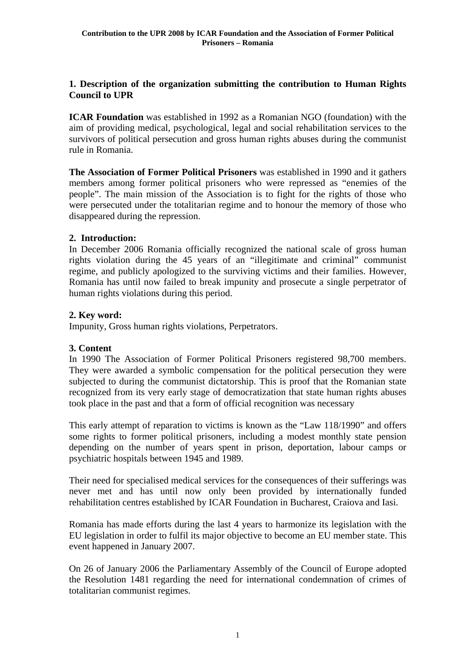## **1. Description of the organization submitting the contribution to Human Rights Council to UPR**

**ICAR Foundation** was established in 1992 as a Romanian NGO (foundation) with the aim of providing medical, psychological, legal and social rehabilitation services to the survivors of political persecution and gross human rights abuses during the communist rule in Romania.

**The Association of Former Political Prisoners** was established in 1990 and it gathers members among former political prisoners who were repressed as "enemies of the people". The main mission of the Association is to fight for the rights of those who were persecuted under the totalitarian regime and to honour the memory of those who disappeared during the repression.

# **2. Introduction:**

In December 2006 Romania officially recognized the national scale of gross human rights violation during the 45 years of an "illegitimate and criminal" communist regime, and publicly apologized to the surviving victims and their families. However, Romania has until now failed to break impunity and prosecute a single perpetrator of human rights violations during this period.

## **2. Key word:**

Impunity, Gross human rights violations, Perpetrators.

#### **3. Content**

In 1990 The Association of Former Political Prisoners registered 98,700 members. They were awarded a symbolic compensation for the political persecution they were subjected to during the communist dictatorship. This is proof that the Romanian state recognized from its very early stage of democratization that state human rights abuses took place in the past and that a form of official recognition was necessary

This early attempt of reparation to victims is known as the "Law 118/1990" and offers some rights to former political prisoners, including a modest monthly state pension depending on the number of years spent in prison, deportation, labour camps or psychiatric hospitals between 1945 and 1989.

Their need for specialised medical services for the consequences of their sufferings was never met and has until now only been provided by internationally funded rehabilitation centres established by ICAR Foundation in Bucharest, Craiova and Iasi.

Romania has made efforts during the last 4 years to harmonize its legislation with the EU legislation in order to fulfil its major objective to become an EU member state. This event happened in January 2007.

On 26 of January 2006 the Parliamentary Assembly of the Council of Europe adopted the Resolution 1481 regarding the need for international condemnation of crimes of totalitarian communist regimes.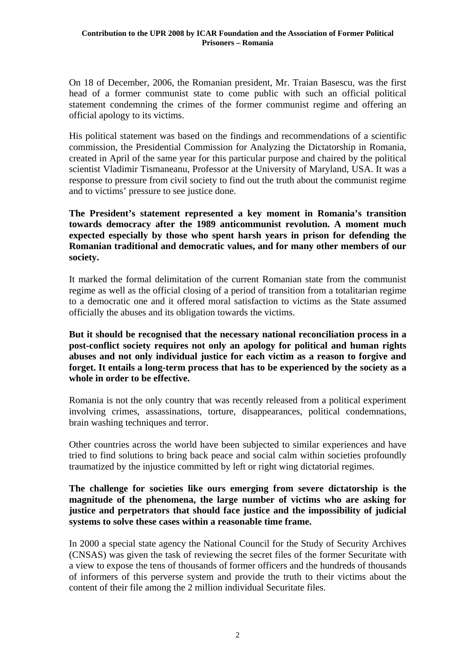On 18 of December, 2006, the Romanian president, Mr. Traian Basescu, was the first head of a former communist state to come public with such an official political statement condemning the crimes of the former communist regime and offering an official apology to its victims.

His political statement was based on the findings and recommendations of a scientific commission, the Presidential Commission for Analyzing the Dictatorship in Romania, created in April of the same year for this particular purpose and chaired by the political scientist Vladimir Tismaneanu, Professor at the University of Maryland, USA. It was a response to pressure from civil society to find out the truth about the communist regime and to victims' pressure to see justice done.

**The President's statement represented a key moment in Romania's transition towards democracy after the 1989 anticommunist revolution. A moment much expected especially by those who spent harsh years in prison for defending the Romanian traditional and democratic values, and for many other members of our society.** 

It marked the formal delimitation of the current Romanian state from the communist regime as well as the official closing of a period of transition from a totalitarian regime to a democratic one and it offered moral satisfaction to victims as the State assumed officially the abuses and its obligation towards the victims.

**But it should be recognised that the necessary national reconciliation process in a post-conflict society requires not only an apology for political and human rights abuses and not only individual justice for each victim as a reason to forgive and forget. It entails a long-term process that has to be experienced by the society as a whole in order to be effective.** 

Romania is not the only country that was recently released from a political experiment involving crimes, assassinations, torture, disappearances, political condemnations, brain washing techniques and terror.

Other countries across the world have been subjected to similar experiences and have tried to find solutions to bring back peace and social calm within societies profoundly traumatized by the injustice committed by left or right wing dictatorial regimes.

**The challenge for societies like ours emerging from severe dictatorship is the magnitude of the phenomena, the large number of victims who are asking for justice and perpetrators that should face justice and the impossibility of judicial systems to solve these cases within a reasonable time frame.** 

In 2000 a special state agency the National Council for the Study of Security Archives (CNSAS) was given the task of reviewing the secret files of the former Securitate with a view to expose the tens of thousands of former officers and the hundreds of thousands of informers of this perverse system and provide the truth to their victims about the content of their file among the 2 million individual Securitate files.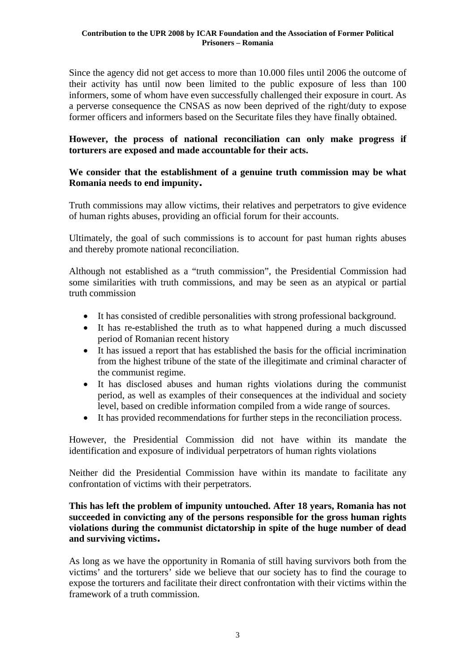Since the agency did not get access to more than 10.000 files until 2006 the outcome of their activity has until now been limited to the public exposure of less than 100 informers, some of whom have even successfully challenged their exposure in court. As a perverse consequence the CNSAS as now been deprived of the right/duty to expose former officers and informers based on the Securitate files they have finally obtained.

## **However, the process of national reconciliation can only make progress if torturers are exposed and made accountable for their acts.**

## **We consider that the establishment of a genuine truth commission may be what Romania needs to end impunity.**

Truth commissions may allow victims, their relatives and perpetrators to give evidence of human rights abuses, providing an official forum for their accounts.

Ultimately, the goal of such commissions is to account for past human rights abuses and thereby promote national reconciliation.

Although not established as a "truth commission", the Presidential Commission had some similarities with truth commissions, and may be seen as an atypical or partial truth commission

- It has consisted of credible personalities with strong professional background.
- It has re-established the truth as to what happened during a much discussed period of Romanian recent history
- It has issued a report that has established the basis for the official incrimination from the highest tribune of the state of the illegitimate and criminal character of the communist regime.
- It has disclosed abuses and human rights violations during the communist period, as well as examples of their consequences at the individual and society level, based on credible information compiled from a wide range of sources.
- It has provided recommendations for further steps in the reconciliation process.

However, the Presidential Commission did not have within its mandate the identification and exposure of individual perpetrators of human rights violations

Neither did the Presidential Commission have within its mandate to facilitate any confrontation of victims with their perpetrators.

## **This has left the problem of impunity untouched. After 18 years, Romania has not succeeded in convicting any of the persons responsible for the gross human rights violations during the communist dictatorship in spite of the huge number of dead and surviving victims.**

As long as we have the opportunity in Romania of still having survivors both from the victims' and the torturers' side we believe that our society has to find the courage to expose the torturers and facilitate their direct confrontation with their victims within the framework of a truth commission.